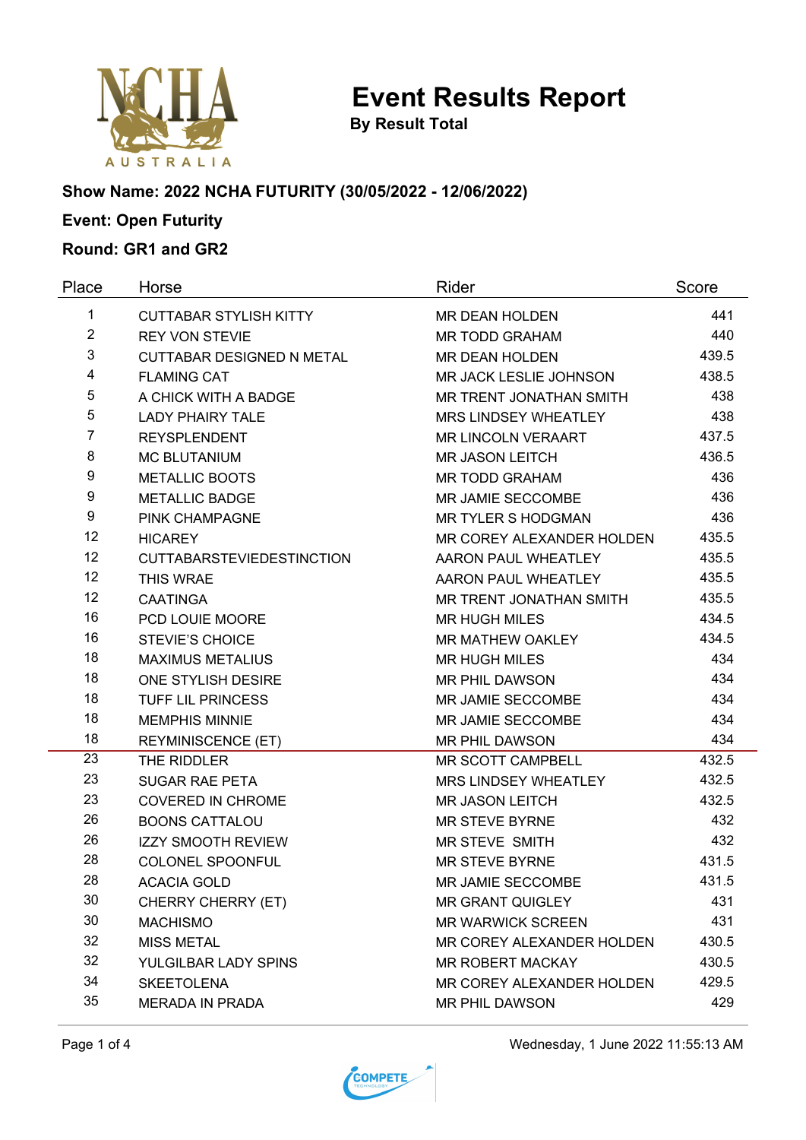

**By Result Total**

# **Show Name: 2022 NCHA FUTURITY (30/05/2022 - 12/06/2022)**

# **Event: Open Futurity**

### **Round: GR1 and GR2**

| Place          | Horse                            | Rider                       | Score |
|----------------|----------------------------------|-----------------------------|-------|
| $\mathbf{1}$   | <b>CUTTABAR STYLISH KITTY</b>    | <b>MR DEAN HOLDEN</b>       | 441   |
| $\overline{2}$ | <b>REY VON STEVIE</b>            | <b>MR TODD GRAHAM</b>       | 440   |
| 3              | <b>CUTTABAR DESIGNED N METAL</b> | MR DEAN HOLDEN              | 439.5 |
| 4              | <b>FLAMING CAT</b>               | MR JACK LESLIE JOHNSON      | 438.5 |
| 5              | A CHICK WITH A BADGE             | MR TRENT JONATHAN SMITH     | 438   |
| 5              | <b>LADY PHAIRY TALE</b>          | <b>MRS LINDSEY WHEATLEY</b> | 438   |
| 7              | <b>REYSPLENDENT</b>              | <b>MR LINCOLN VERAART</b>   | 437.5 |
| 8              | <b>MC BLUTANIUM</b>              | <b>MR JASON LEITCH</b>      | 436.5 |
| 9              | <b>METALLIC BOOTS</b>            | <b>MR TODD GRAHAM</b>       | 436   |
| 9              | <b>METALLIC BADGE</b>            | MR JAMIE SECCOMBE           | 436   |
| 9              | PINK CHAMPAGNE                   | MR TYLER S HODGMAN          | 436   |
| 12             | <b>HICAREY</b>                   | MR COREY ALEXANDER HOLDEN   | 435.5 |
| 12             | <b>CUTTABARSTEVIEDESTINCTION</b> | AARON PAUL WHEATLEY         | 435.5 |
| 12             | THIS WRAE                        | AARON PAUL WHEATLEY         | 435.5 |
| 12             | <b>CAATINGA</b>                  | MR TRENT JONATHAN SMITH     | 435.5 |
| 16             | PCD LOUIE MOORE                  | <b>MR HUGH MILES</b>        | 434.5 |
| 16             | <b>STEVIE'S CHOICE</b>           | MR MATHEW OAKLEY            | 434.5 |
| 18             | <b>MAXIMUS METALIUS</b>          | <b>MR HUGH MILES</b>        | 434   |
| 18             | ONE STYLISH DESIRE               | <b>MR PHIL DAWSON</b>       | 434   |
| 18             | <b>TUFF LIL PRINCESS</b>         | MR JAMIE SECCOMBE           | 434   |
| 18             | <b>MEMPHIS MINNIE</b>            | MR JAMIE SECCOMBE           | 434   |
| 18             | <b>REYMINISCENCE (ET)</b>        | MR PHIL DAWSON              | 434   |
| 23             | THE RIDDLER                      | MR SCOTT CAMPBELL           | 432.5 |
| 23             | <b>SUGAR RAE PETA</b>            | MRS LINDSEY WHEATLEY        | 432.5 |
| 23             | <b>COVERED IN CHROME</b>         | <b>MR JASON LEITCH</b>      | 432.5 |
| 26             | <b>BOONS CATTALOU</b>            | <b>MR STEVE BYRNE</b>       | 432   |
| 26             | <b>IZZY SMOOTH REVIEW</b>        | MR STEVE SMITH              | 432   |
| 28             | COLONEL SPOONFUL                 | <b>MR STEVE BYRNE</b>       | 431.5 |
| 28             | ACACIA GOLD                      | MR JAMIE SECCOMBE           | 431.5 |
| 30             | <b>CHERRY CHERRY (ET)</b>        | <b>MR GRANT QUIGLEY</b>     | 431   |
| 30             | <b>MACHISMO</b>                  | <b>MR WARWICK SCREEN</b>    | 431   |
| 32             | <b>MISS METAL</b>                | MR COREY ALEXANDER HOLDEN   | 430.5 |
| 32             | YULGILBAR LADY SPINS             | <b>MR ROBERT MACKAY</b>     | 430.5 |
| 34             | <b>SKEETOLENA</b>                | MR COREY ALEXANDER HOLDEN   | 429.5 |
| 35             | <b>MERADA IN PRADA</b>           | MR PHIL DAWSON              | 429   |

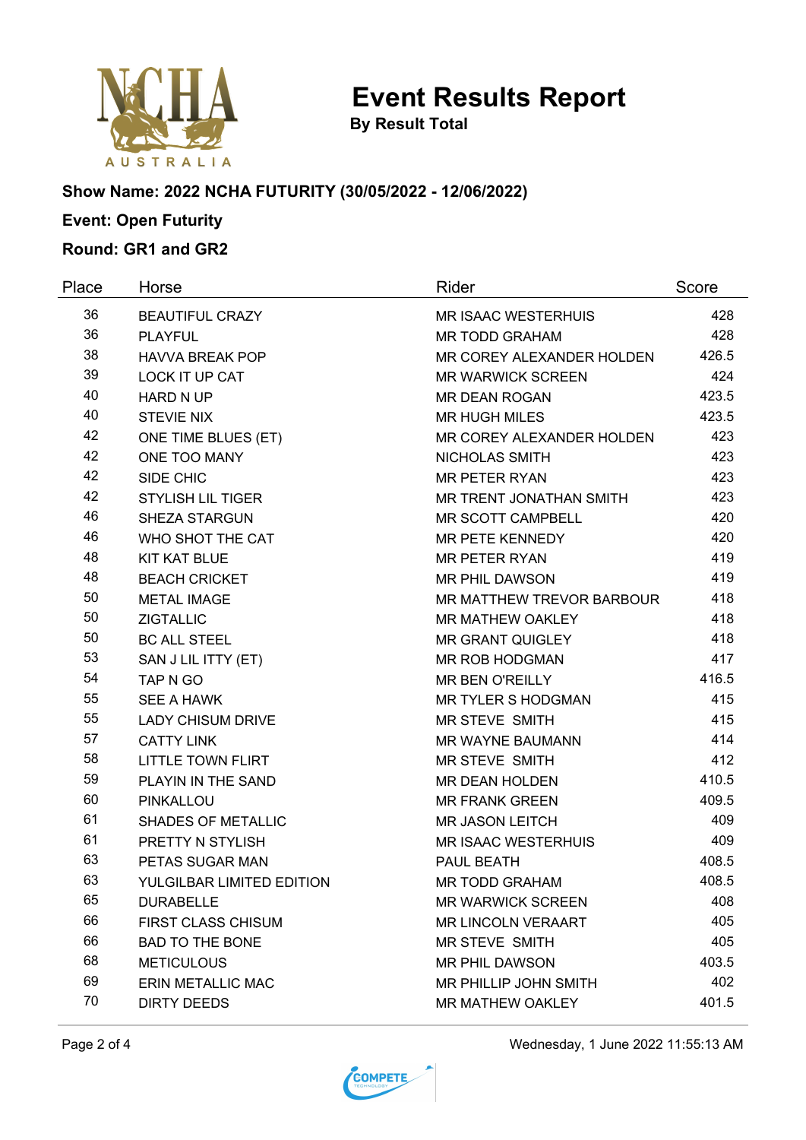

**By Result Total**

#### **Show Name: 2022 NCHA FUTURITY (30/05/2022 - 12/06/2022)**

# **Event: Open Futurity**

## **Round: GR1 and GR2**

| Place | Horse                     | Rider                      | Score |
|-------|---------------------------|----------------------------|-------|
| 36    | <b>BEAUTIFUL CRAZY</b>    | <b>MR ISAAC WESTERHUIS</b> | 428   |
| 36    | <b>PLAYFUL</b>            | <b>MR TODD GRAHAM</b>      | 428   |
| 38    | <b>HAVVA BREAK POP</b>    | MR COREY ALEXANDER HOLDEN  | 426.5 |
| 39    | <b>LOCK IT UP CAT</b>     | <b>MR WARWICK SCREEN</b>   | 424   |
| 40    | <b>HARD N UP</b>          | <b>MR DEAN ROGAN</b>       | 423.5 |
| 40    | <b>STEVIE NIX</b>         | <b>MR HUGH MILES</b>       | 423.5 |
| 42    | ONE TIME BLUES (ET)       | MR COREY ALEXANDER HOLDEN  | 423   |
| 42    | ONE TOO MANY              | NICHOLAS SMITH             | 423   |
| 42    | SIDE CHIC                 | <b>MR PETER RYAN</b>       | 423   |
| 42    | <b>STYLISH LIL TIGER</b>  | MR TRENT JONATHAN SMITH    | 423   |
| 46    | <b>SHEZA STARGUN</b>      | MR SCOTT CAMPBELL          | 420   |
| 46    | WHO SHOT THE CAT          | MR PETE KENNEDY            | 420   |
| 48    | <b>KIT KAT BLUE</b>       | <b>MR PETER RYAN</b>       | 419   |
| 48    | <b>BEACH CRICKET</b>      | <b>MR PHIL DAWSON</b>      | 419   |
| 50    | <b>METAL IMAGE</b>        | MR MATTHEW TREVOR BARBOUR  | 418   |
| 50    | <b>ZIGTALLIC</b>          | MR MATHEW OAKLEY           | 418   |
| 50    | <b>BC ALL STEEL</b>       | <b>MR GRANT QUIGLEY</b>    | 418   |
| 53    | SAN J LIL ITTY (ET)       | MR ROB HODGMAN             | 417   |
| 54    | TAP N GO                  | <b>MR BEN O'REILLY</b>     | 416.5 |
| 55    | SEE A HAWK                | MR TYLER S HODGMAN         | 415   |
| 55    | <b>LADY CHISUM DRIVE</b>  | MR STEVE SMITH             | 415   |
| 57    | <b>CATTY LINK</b>         | MR WAYNE BAUMANN           | 414   |
| 58    | <b>LITTLE TOWN FLIRT</b>  | MR STEVE SMITH             | 412   |
| 59    | PLAYIN IN THE SAND        | MR DEAN HOLDEN             | 410.5 |
| 60    | <b>PINKALLOU</b>          | <b>MR FRANK GREEN</b>      | 409.5 |
| 61    | <b>SHADES OF METALLIC</b> | <b>MR JASON LEITCH</b>     | 409   |
| 61    | PRETTY N STYLISH          | MR ISAAC WESTERHUIS        | 409   |
| 63    | PETAS SUGAR MAN           | PAUL BEATH                 | 408.5 |
| 63    | YULGILBAR LIMITED EDITION | MR TODD GRAHAM             | 408.5 |
| 65    | <b>DURABELLE</b>          | <b>MR WARWICK SCREEN</b>   | 408   |
| 66    | <b>FIRST CLASS CHISUM</b> | <b>MR LINCOLN VERAART</b>  | 405   |
| 66    | <b>BAD TO THE BONE</b>    | MR STEVE SMITH             | 405   |
| 68    | <b>METICULOUS</b>         | <b>MR PHIL DAWSON</b>      | 403.5 |
| 69    | <b>ERIN METALLIC MAC</b>  | MR PHILLIP JOHN SMITH      | 402   |
| 70    | <b>DIRTY DEEDS</b>        | MR MATHEW OAKLEY           | 401.5 |

Page 2 of 4 Wednesday, 1 June 2022 11:55:13 AM

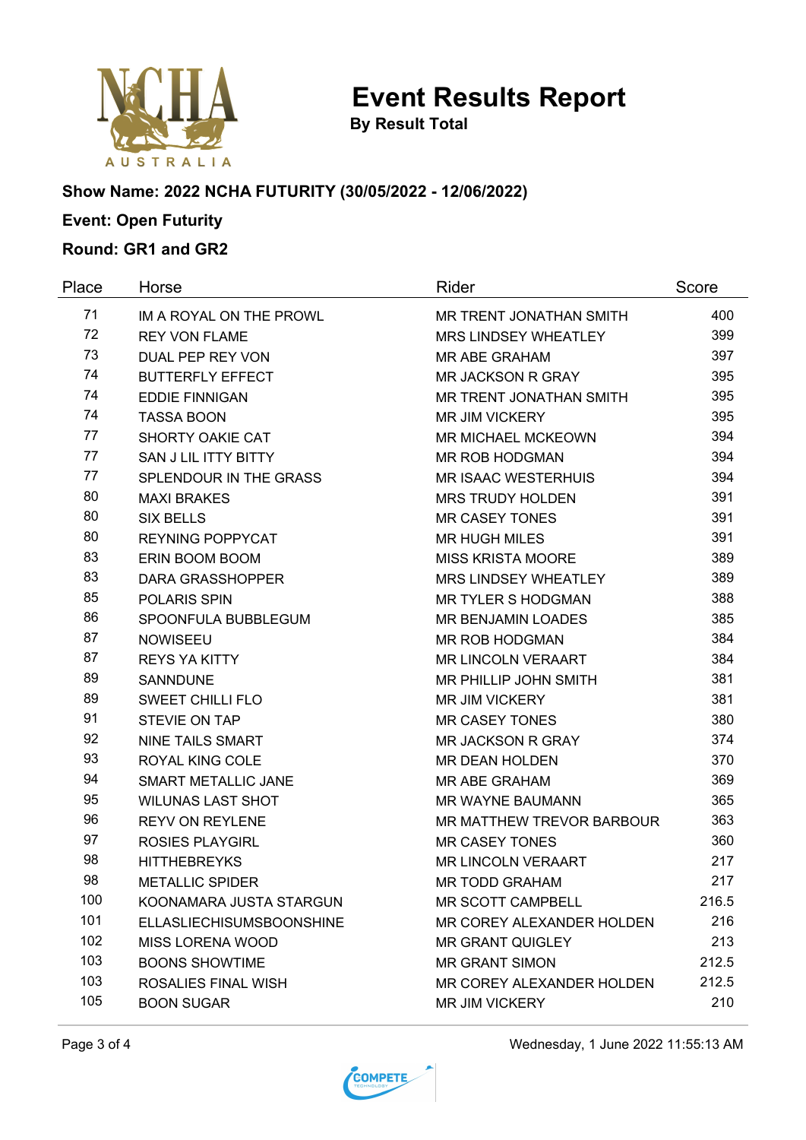

**By Result Total**

#### **Show Name: 2022 NCHA FUTURITY (30/05/2022 - 12/06/2022)**

# **Event: Open Futurity**

## **Round: GR1 and GR2**

| Place | Horse                           | Rider                            | Score |
|-------|---------------------------------|----------------------------------|-------|
| 71    | IM A ROYAL ON THE PROWL         | MR TRENT JONATHAN SMITH          | 400   |
| 72    | <b>REY VON FLAME</b>            | MRS LINDSEY WHEATLEY             | 399   |
| 73    | DUAL PEP REY VON                | <b>MR ABE GRAHAM</b>             | 397   |
| 74    | <b>BUTTERFLY EFFECT</b>         | MR JACKSON R GRAY                | 395   |
| 74    | <b>EDDIE FINNIGAN</b>           | MR TRENT JONATHAN SMITH          | 395   |
| 74    | <b>TASSA BOON</b>               | <b>MR JIM VICKERY</b>            | 395   |
| 77    | SHORTY OAKIE CAT                | <b>MR MICHAEL MCKEOWN</b>        | 394   |
| 77    | SAN J LIL ITTY BITTY            | <b>MR ROB HODGMAN</b>            | 394   |
| 77    | SPLENDOUR IN THE GRASS          | <b>MR ISAAC WESTERHUIS</b>       | 394   |
| 80    | <b>MAXI BRAKES</b>              | <b>MRS TRUDY HOLDEN</b>          | 391   |
| 80    | <b>SIX BELLS</b>                | <b>MR CASEY TONES</b>            | 391   |
| 80    | <b>REYNING POPPYCAT</b>         | <b>MR HUGH MILES</b>             | 391   |
| 83    | ERIN BOOM BOOM                  | <b>MISS KRISTA MOORE</b>         | 389   |
| 83    | <b>DARA GRASSHOPPER</b>         | MRS LINDSEY WHEATLEY             | 389   |
| 85    | <b>POLARIS SPIN</b>             | <b>MR TYLER S HODGMAN</b>        | 388   |
| 86    | SPOONFULA BUBBLEGUM             | <b>MR BENJAMIN LOADES</b>        | 385   |
| 87    | <b>NOWISEEU</b>                 | <b>MR ROB HODGMAN</b>            | 384   |
| 87    | <b>REYS YA KITTY</b>            | <b>MR LINCOLN VERAART</b>        | 384   |
| 89    | <b>SANNDUNE</b>                 | MR PHILLIP JOHN SMITH            | 381   |
| 89    | <b>SWEET CHILLI FLO</b>         | <b>MR JIM VICKERY</b>            | 381   |
| 91    | <b>STEVIE ON TAP</b>            | <b>MR CASEY TONES</b>            | 380   |
| 92    | <b>NINE TAILS SMART</b>         | <b>MR JACKSON R GRAY</b>         | 374   |
| 93    | <b>ROYAL KING COLE</b>          | <b>MR DEAN HOLDEN</b>            | 370   |
| 94    | SMART METALLIC JANE             | MR ABE GRAHAM                    | 369   |
| 95    | <b>WILUNAS LAST SHOT</b>        | MR WAYNE BAUMANN                 | 365   |
| 96    | <b>REYV ON REYLENE</b>          | <b>MR MATTHEW TREVOR BARBOUR</b> | 363   |
| 97    | <b>ROSIES PLAYGIRL</b>          | <b>MR CASEY TONES</b>            | 360   |
| 98    | <b>HITTHEBREYKS</b>             | <b>MR LINCOLN VERAART</b>        | 217   |
| 98    | <b>METALLIC SPIDER</b>          | MR TODD GRAHAM                   | 217   |
| 100   | KOONAMARA JUSTA STARGUN         | MR SCOTT CAMPBELL                | 216.5 |
| 101   | <b>ELLASLIECHISUMSBOONSHINE</b> | MR COREY ALEXANDER HOLDEN        | 216   |
| 102   | MISS LORENA WOOD                | <b>MR GRANT QUIGLEY</b>          | 213   |
| 103   | <b>BOONS SHOWTIME</b>           | <b>MR GRANT SIMON</b>            | 212.5 |
| 103   | ROSALIES FINAL WISH             | MR COREY ALEXANDER HOLDEN        | 212.5 |
| 105   | <b>BOON SUGAR</b>               | <b>MR JIM VICKERY</b>            | 210   |

Page 3 of 4 Wednesday, 1 June 2022 11:55:13 AM